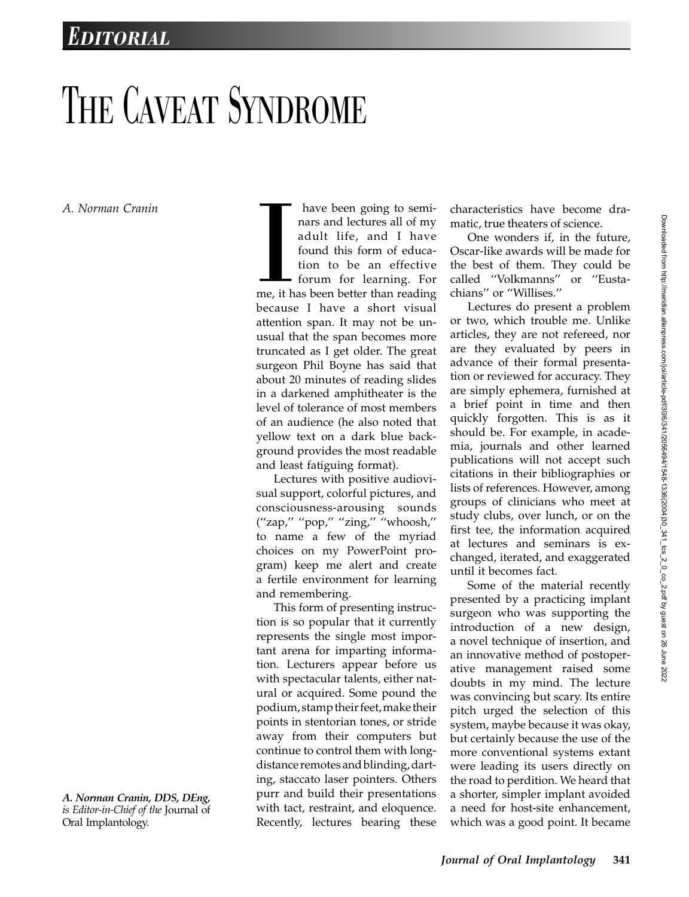## EDITORIAL

## THE CAVEAT SYNDROME

A. Norman Cranin

**IVERNATION**<br>
International state<br>
Decause have been going to seminars and lectures all of my adult life, and I have found this form of education to be an effective forum for learning. For me, it has been better than reading because I have a short visual attention span. It may not be unusual that the span becomes more truncated as I get older. The great surgeon Phil Boyne has said that about 20 minutes of reading slides in a darkened amphitheater is the level of tolerance of most members of an audience (he also noted that yellow text on a dark blue background provides the most readable and least fatiguing format).

Lectures with positive audiovisual support, colorful pictures, and consciousness-arousing sounds (''zap,'' ''pop,'' ''zing,'' ''whoosh,'' to name a few of the myriad choices on my PowerPoint program) keep me alert and create a fertile environment for learning and remembering.

This form of presenting instruction is so popular that it currently represents the single most important arena for imparting information. Lecturers appear before us with spectacular talents, either natural or acquired. Some pound the podium,stamp theirfeet, make their points in stentorian tones, or stride away from their computers but continue to control them with longdistance remotes and blinding, darting, staccato laser pointers. Others purr and build their presentations with tact, restraint, and eloquence. Recently, lectures bearing these

characteristics have become dramatic, true theaters of science.

One wonders if, in the future, Oscar-like awards will be made for the best of them. They could be called ''Volkmanns'' or ''Eustachians'' or ''Willises.''

Lectures do present a problem or two, which trouble me. Unlike articles, they are not refereed, nor are they evaluated by peers in advance of their formal presentation or reviewed for accuracy. They are simply ephemera, furnished at a brief point in time and then quickly forgotten. This is as it should be. For example, in academia, journals and other learned publications will not accept such citations in their bibliographies or lists of references. However, among groups of clinicians who meet at study clubs, over lunch, or on the first tee, the information acquired at lectures and seminars is exchanged, iterated, and exaggerated until it becomes fact.

Some of the material recently presented by a practicing implant surgeon who was supporting the introduction of a new design, a novel technique of insertion, and an innovative method of postoperative management raised some doubts in my mind. The lecture was convincing but scary. Its entire pitch urged the selection of this system, maybe because it was okay, but certainly because the use of the more conventional systems extant were leading its users directly on the road to perdition. We heard that a shorter, simpler implant avoided a need for host-site enhancement, which was a good point. It became

A. Norman Cranin, DDS, DEng, is Editor-in-Chief of the Journal of Oral Implantology.